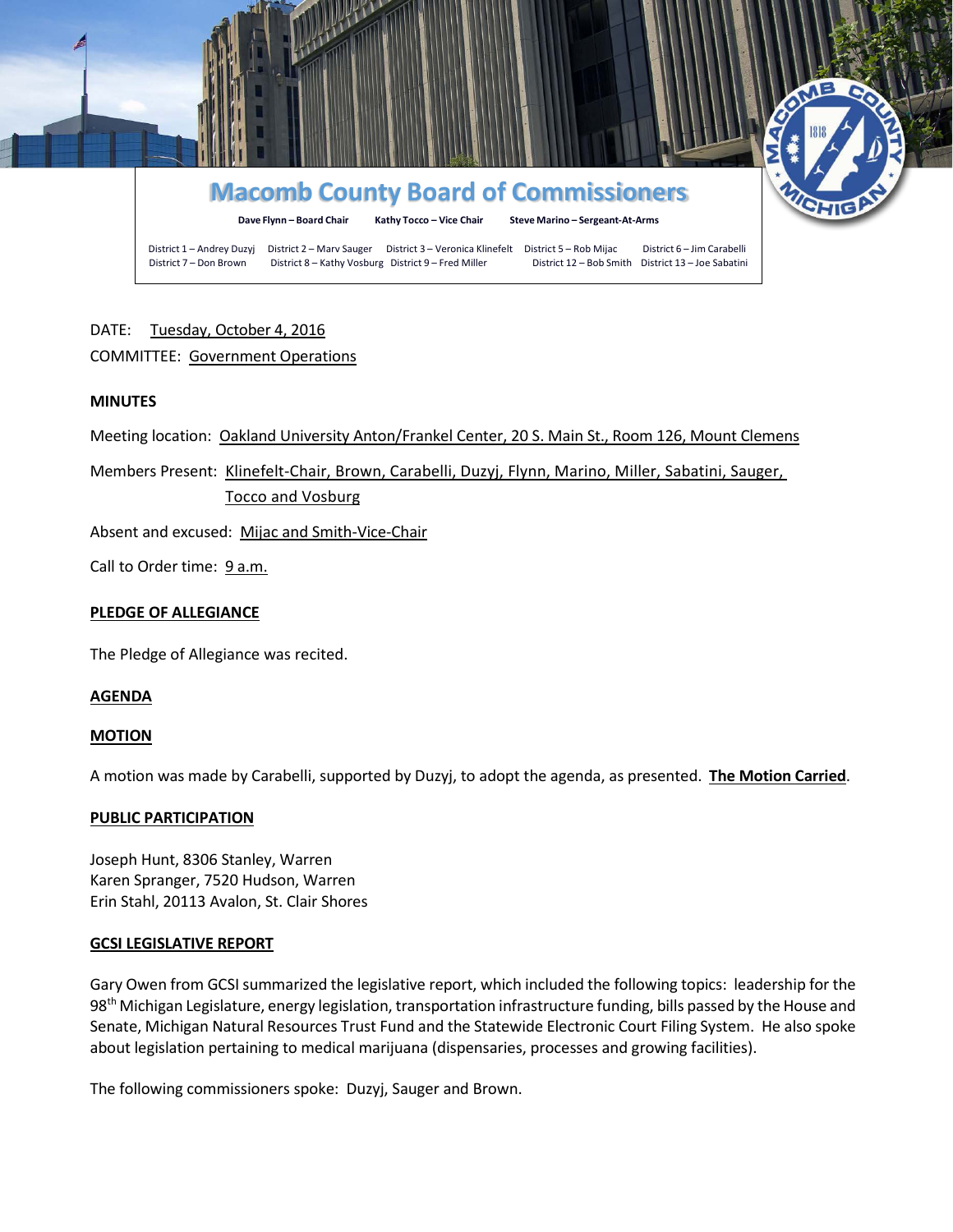

# DATE: Tuesday, October 4, 2016

# COMMITTEE: Government Operations

## **MINUTES**

Meeting location: Oakland University Anton/Frankel Center, 20 S. Main St., Room 126, Mount Clemens

Members Present: Klinefelt-Chair, Brown, Carabelli, Duzyj, Flynn, Marino, Miller, Sabatini, Sauger, Tocco and Vosburg

Absent and excused: Mijac and Smith-Vice-Chair

Call to Order time: 9 a.m.

# **PLEDGE OF ALLEGIANCE**

The Pledge of Allegiance was recited.

## **AGENDA**

## **MOTION**

A motion was made by Carabelli, supported by Duzyj, to adopt the agenda, as presented. **The Motion Carried**.

## **PUBLIC PARTICIPATION**

Joseph Hunt, 8306 Stanley, Warren Karen Spranger, 7520 Hudson, Warren Erin Stahl, 20113 Avalon, St. Clair Shores

## **GCSI LEGISLATIVE REPORT**

Gary Owen from GCSI summarized the legislative report, which included the following topics: leadership for the 98<sup>th</sup> Michigan Legislature, energy legislation, transportation infrastructure funding, bills passed by the House and Senate, Michigan Natural Resources Trust Fund and the Statewide Electronic Court Filing System. He also spoke about legislation pertaining to medical marijuana (dispensaries, processes and growing facilities).

The following commissioners spoke: Duzyj, Sauger and Brown.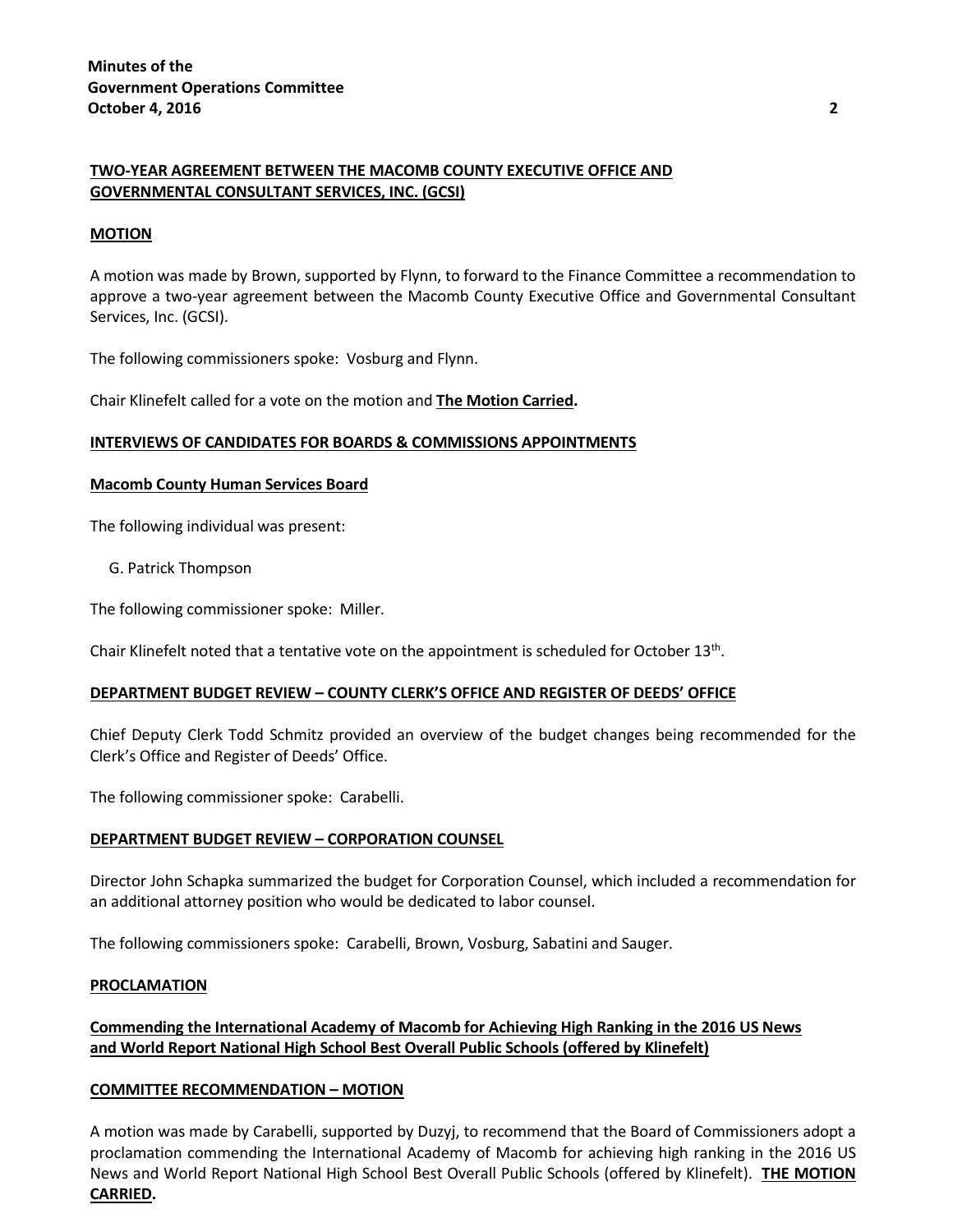# **TWO-YEAR AGREEMENT BETWEEN THE MACOMB COUNTY EXECUTIVE OFFICE AND GOVERNMENTAL CONSULTANT SERVICES, INC. (GCSI)**

## **MOTION**

A motion was made by Brown, supported by Flynn, to forward to the Finance Committee a recommendation to approve a two-year agreement between the Macomb County Executive Office and Governmental Consultant Services, Inc. (GCSI).

The following commissioners spoke: Vosburg and Flynn.

Chair Klinefelt called for a vote on the motion and **The Motion Carried.**

#### **INTERVIEWS OF CANDIDATES FOR BOARDS & COMMISSIONS APPOINTMENTS**

#### **Macomb County Human Services Board**

The following individual was present:

G. Patrick Thompson

The following commissioner spoke: Miller.

Chair Klinefelt noted that a tentative vote on the appointment is scheduled for October  $13<sup>th</sup>$ .

#### **DEPARTMENT BUDGET REVIEW – COUNTY CLERK'S OFFICE AND REGISTER OF DEEDS' OFFICE**

Chief Deputy Clerk Todd Schmitz provided an overview of the budget changes being recommended for the Clerk's Office and Register of Deeds' Office.

The following commissioner spoke: Carabelli.

## **DEPARTMENT BUDGET REVIEW – CORPORATION COUNSEL**

Director John Schapka summarized the budget for Corporation Counsel, which included a recommendation for an additional attorney position who would be dedicated to labor counsel.

The following commissioners spoke: Carabelli, Brown, Vosburg, Sabatini and Sauger.

#### **PROCLAMATION**

# **Commending the International Academy of Macomb for Achieving High Ranking in the 2016 US News and World Report National High School Best Overall Public Schools (offered by Klinefelt)**

## **COMMITTEE RECOMMENDATION – MOTION**

A motion was made by Carabelli, supported by Duzyj, to recommend that the Board of Commissioners adopt a proclamation commending the International Academy of Macomb for achieving high ranking in the 2016 US News and World Report National High School Best Overall Public Schools (offered by Klinefelt). **THE MOTION CARRIED.**